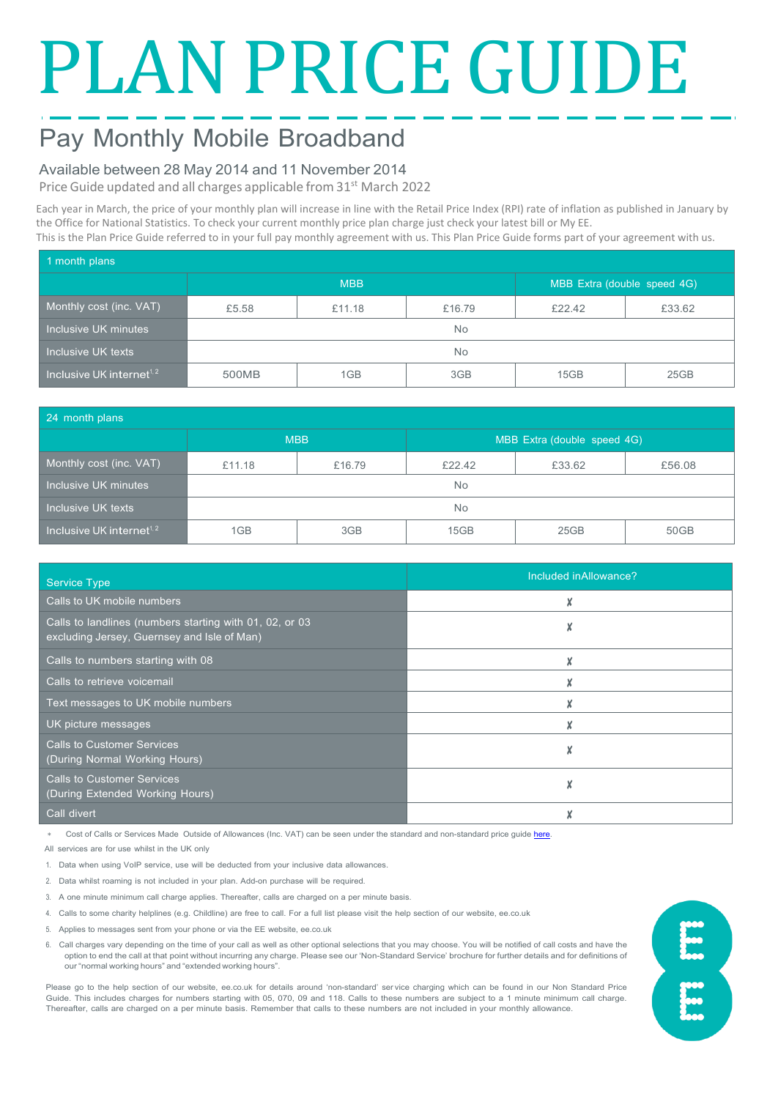# PLAN PRICE GUIDE

## Pay Monthly Mobile Broadband

## Available between 28 May 2014 and 11 November 2014

Price Guide updated and all charges applicable from 31<sup>st</sup> March 2022

Each year in March, the price of your monthly plan will increase in line with the Retail Price Index (RPI) rate of inflation as published in January by the Office for National Statistics. To check your current monthly price plan charge just check your latest bill or My EE. This is the Plan Price Guide referred to in your full pay monthly agreement with us. This Plan Price Guide forms part of your agreement with us.

| 1 month plans                         |            |        |        |                             |        |  |  |
|---------------------------------------|------------|--------|--------|-----------------------------|--------|--|--|
|                                       | <b>MBB</b> |        |        | MBB Extra (double speed 4G) |        |  |  |
| Monthly cost (inc. VAT)               | £5.58      | £11.18 | £16.79 | £22.42                      | £33.62 |  |  |
| Inclusive UK minutes                  | No.        |        |        |                             |        |  |  |
| Inclusive UK texts                    | No.        |        |        |                             |        |  |  |
| Inclusive UK internet <sup>1, 2</sup> | 500MB      | 1GB    | 3GB    | 15GB                        | 25GB   |  |  |

| 24 month plans                                              |            |        |                             |        |        |  |  |
|-------------------------------------------------------------|------------|--------|-----------------------------|--------|--------|--|--|
|                                                             | <b>MBB</b> |        | MBB Extra (double speed 4G) |        |        |  |  |
| Monthly cost (inc. VAT)                                     | £11.18     | £16.79 | £22.42                      | £33.62 | £56.08 |  |  |
| Inclusive UK minutes                                        | No.        |        |                             |        |        |  |  |
| Inclusive UK texts                                          | No.        |        |                             |        |        |  |  |
| $\overline{\phantom{a}}$ Inclusive UK internet $^{1,\,2}$ ' | 1GB        | 3GB    | 15GB                        | 25GB   | 50GB   |  |  |

| <b>Service Type</b>                                                                                    | Included in Allowance? |
|--------------------------------------------------------------------------------------------------------|------------------------|
| Calls to UK mobile numbers                                                                             | Χ                      |
| Calls to landlines (numbers starting with 01, 02, or 03<br>excluding Jersey, Guernsey and Isle of Man) |                        |
| Calls to numbers starting with 08                                                                      | X                      |
| Calls to retrieve voicemail                                                                            |                        |
| Text messages to UK mobile numbers                                                                     |                        |
| UK picture messages                                                                                    | Χ                      |
| <b>Calls to Customer Services</b><br>(During Normal Working Hours)                                     | X                      |
| <b>Calls to Customer Services</b><br>(During Extended Working Hours)                                   |                        |
| Call divert                                                                                            |                        |

Cost of Calls or Services Made Outside of Allowances (Inc. VAT) can be seen under the standard and non-standard price guide here

All services are for use whilst in the UK only

- 1. Data when using VoIP service, use will be deducted from your inclusive data allowances.
- 2. Data whilst roaming is not included in your plan. Add-on purchase will be required.

3. A one minute minimum call charge applies. Thereafter, calls are charged on a per minute basis.

- 4. Calls to some charity helplines (e.g. Childline) are free to call. For a full list please visit the help section of our website, ee.co.uk
- 5. Applies to messages sent from your phone or via the EE website, ee.co.uk
- 6. Call charges vary depending on the time of your call as well as other optional selections that you may choose. You will be notified of call costs and have the option to end the call at that point without incurring any charge. Please see our 'Non-Standard Service' brochure for further details and for definitions of our "normal working hours" and "extended working hours".

Please go to the help section of our website, ee.co.uk for details around 'non-standard' ser vice charging which can be found in our Non Standard Price Guide. This includes charges for numbers starting with 05, 070, 09 and 118. Calls to these numbers are subject to a 1 minute minimum call charge. Thereafter, calls are charged on a per minute basis. Remember that calls to these numbers are not included in your monthly allowance.